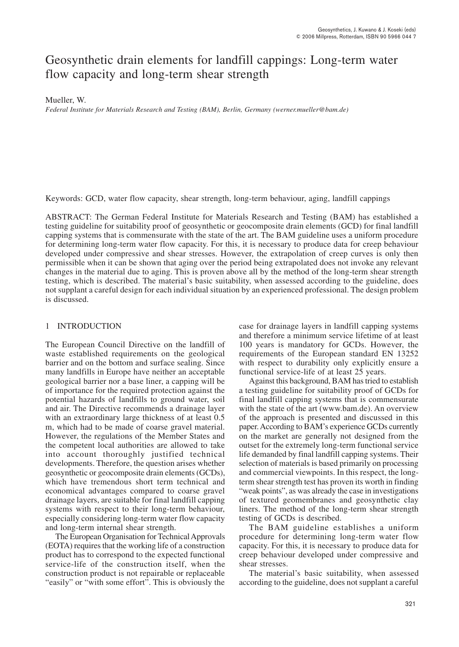# Geosynthetic drain elements for landfill cappings: Long-term water flow capacity and long-term shear strength

Mueller, W.

*Federal Institute for Materials Research and Testing (BAM), Berlin, Germany (werner.mueller@bam.de)*

Keywords: GCD, water flow capacity, shear strength, long-term behaviour, aging, landfill cappings

ABSTRACT: The German Federal Institute for Materials Research and Testing (BAM) has established a testing guideline for suitability proof of geosynthetic or geocomposite drain elements (GCD) for final landfill capping systems that is commensurate with the state of the art. The BAM guideline uses a uniform procedure for determining long-term water flow capacity. For this, it is necessary to produce data for creep behaviour developed under compressive and shear stresses. However, the extrapolation of creep curves is only then permissible when it can be shown that aging over the period being extrapolated does not invoke any relevant changes in the material due to aging. This is proven above all by the method of the long-term shear strength testing, which is described. The material's basic suitability, when assessed according to the guideline, does not supplant a careful design for each individual situation by an experienced professional. The design problem is discussed.

# 1 INTRODUCTION

The European Council Directive on the landfill of waste established requirements on the geological barrier and on the bottom and surface sealing. Since many landfills in Europe have neither an acceptable geological barrier nor a base liner, a capping will be of importance for the required protection against the potential hazards of landfills to ground water, soil and air. The Directive recommends a drainage layer with an extraordinary large thickness of at least 0.5 m, which had to be made of coarse gravel material. However, the regulations of the Member States and the competent local authorities are allowed to take into account thoroughly justified technical developments. Therefore, the question arises whether geosynthetic or geocomposite drain elements (GCDs), which have tremendous short term technical and economical advantages compared to coarse gravel drainage layers, are suitable for final landfill capping systems with respect to their long-term behaviour, especially considering long-term water flow capacity and long-term internal shear strength.

The European Organisation for Technical Approvals (EOTA) requires that the working life of a construction product has to correspond to the expected functional service-life of the construction itself, when the construction product is not repairable or replaceable "easily" or "with some effort". This is obviously the

case for drainage layers in landfill capping systems and therefore a minimum service lifetime of at least 100 years is mandatory for GCDs. However, the requirements of the European standard EN 13252 with respect to durability only explicitly ensure a functional service-life of at least 25 years.

Against this background, BAM has tried to establish a testing guideline for suitability proof of GCDs for final landfill capping systems that is commensurate with the state of the art (www.bam.de). An overview of the approach is presented and discussed in this paper. According to BAM's experience GCDs currently on the market are generally not designed from the outset for the extremely long-term functional service life demanded by final landfill capping systems. Their selection of materials is based primarily on processing and commercial viewpoints. In this respect, the longterm shear strength test has proven its worth in finding "weak points", as was already the case in investigations of textured geomembranes and geosynthetic clay liners. The method of the long-term shear strength testing of GCDs is described.

The BAM guideline establishes a uniform procedure for determining long-term water flow capacity. For this, it is necessary to produce data for creep behaviour developed under compressive and shear stresses.

The material's basic suitability, when assessed according to the guideline, does not supplant a careful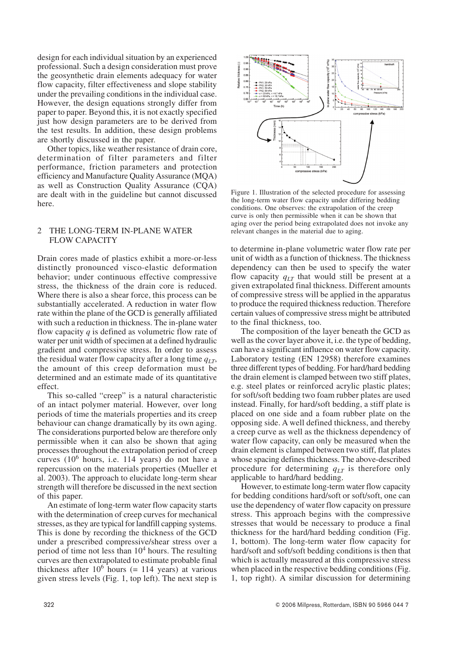design for each individual situation by an experienced professional. Such a design consideration must prove the geosynthetic drain elements adequacy for water flow capacity, filter effectiveness and slope stability under the prevailing conditions in the individual case. However, the design equations strongly differ from paper to paper. Beyond this, it is not exactly specified just how design parameters are to be derived from the test results. In addition, these design problems are shortly discussed in the paper.

Other topics, like weather resistance of drain core, determination of filter parameters and filter performance, friction parameters and protection efficiency and Manufacture Quality Assurance (MQA) as well as Construction Quality Assurance (CQA) are dealt with in the guideline but cannot discussed here.

### 2 THE LONG-TERM IN-PLANE WATER FLOW CAPACITY

Drain cores made of plastics exhibit a more-or-less distinctly pronounced visco-elastic deformation behavior; under continuous effective compressive stress, the thickness of the drain core is reduced. Where there is also a shear force, this process can be substantially accelerated. A reduction in water flow rate within the plane of the GCD is generally affiliated with such a reduction in thickness. The in-plane water flow capacity *q* is defined as volumetric flow rate of water per unit width of specimen at a defined hydraulic gradient and compressive stress. In order to assess the residual water flow capacity after a long time  $q_{IT}$ , the amount of this creep deformation must be determined and an estimate made of its quantitative effect.

This so-called "creep" is a natural characteristic of an intact polymer material. However, over long periods of time the materials properties and its creep behaviour can change dramatically by its own aging. The considerations purported below are therefore only permissible when it can also be shown that aging processes throughout the extrapolation period of creep curves (10<sup>6</sup> hours, i.e. 114 years) do not have a repercussion on the materials properties (Mueller et al. 2003). The approach to elucidate long-term shear strength will therefore be discussed in the next section of this paper.

An estimate of long-term water flow capacity starts with the determination of creep curves for mechanical stresses, as they are typical for landfill capping systems. This is done by recording the thickness of the GCD under a prescribed compressive/shear stress over a period of time not less than  $10^4$  hours. The resulting curves are then extrapolated to estimate probable final thickness after  $10^6$  hours (= 114 years) at various given stress levels (Fig. 1, top left). The next step is



Figure 1. Illustration of the selected procedure for assessing the long-term water flow capacity under differing bedding conditions. One observes: the extrapolation of the creep curve is only then permissible when it can be shown that aging over the period being extrapolated does not invoke any relevant changes in the material due to aging.

to determine in-plane volumetric water flow rate per unit of width as a function of thickness. The thickness dependency can then be used to specify the water flow capacity  $q_{LT}$  that would still be present at a given extrapolated final thickness. Different amounts of compressive stress will be applied in the apparatus to produce the required thickness reduction. Therefore certain values of compressive stress might be attributed to the final thickness, too.

The composition of the layer beneath the GCD as well as the cover layer above it, i.e. the type of bedding, can have a significant influence on water flow capacity. Laboratory testing (EN 12958) therefore examines three different types of bedding. For hard/hard bedding the drain element is clamped between two stiff plates, e.g. steel plates or reinforced acrylic plastic plates; for soft/soft bedding two foam rubber plates are used instead. Finally, for hard/soft bedding, a stiff plate is placed on one side and a foam rubber plate on the opposing side. A well defined thickness, and thereby a creep curve as well as the thickness dependency of water flow capacity, can only be measured when the drain element is clamped between two stiff, flat plates whose spacing defines thickness. The above-described procedure for determining *qLT* is therefore only applicable to hard/hard bedding.

However, to estimate long-term water flow capacity for bedding conditions hard/soft or soft/soft, one can use the dependency of water flow capacity on pressure stress. This approach begins with the compressive stresses that would be necessary to produce a final thickness for the hard/hard bedding condition (Fig. 1, bottom). The long-term water flow capacity for hard/soft and soft/soft bedding conditions is then that which is actually measured at this compressive stress when placed in the respective bedding conditions (Fig. 1, top right). A similar discussion for determining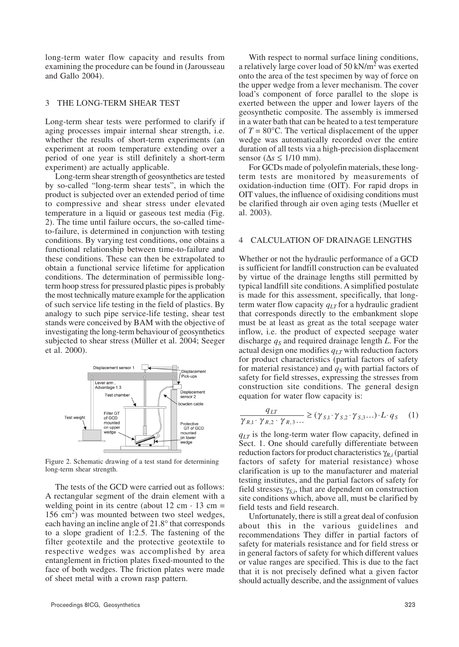long-term water flow capacity and results from examining the procedure can be found in (Jarousseau and Gallo 2004).

# 3 THE LONG-TERM SHEAR TEST

Long-term shear tests were performed to clarify if aging processes impair internal shear strength, i.e. whether the results of short-term experiments (an experiment at room temperature extending over a period of one year is still definitely a short-term experiment) are actually applicable.

Long-term shear strength of geosynthetics are tested by so-called "long-term shear tests", in which the product is subjected over an extended period of time to compressive and shear stress under elevated temperature in a liquid or gaseous test media (Fig. 2). The time until failure occurs, the so-called timeto-failure, is determined in conjunction with testing conditions. By varying test conditions, one obtains a functional relationship between time-to-failure and these conditions. These can then be extrapolated to obtain a functional service lifetime for application conditions. The determination of permissible longterm hoop stress for pressured plastic pipes is probably the most technically mature example for the application of such service life testing in the field of plastics. By analogy to such pipe service-life testing, shear test stands were conceived by BAM with the objective of investigating the long-term behaviour of geosynthetics subjected to shear stress (Müller et al. 2004; Seeger et al. 2000).



Figure 2. Schematic drawing of a test stand for determining long-term shear strength.

The tests of the GCD were carried out as follows: A rectangular segment of the drain element with a welding point in its centre (about  $12 \text{ cm} \cdot 13 \text{ cm} =$ 156 cm<sup>2</sup>) was mounted between two steel wedges, each having an incline angle of 21.8° that corresponds to a slope gradient of 1:2.5. The fastening of the filter geotextile and the protective geotextile to respective wedges was accomplished by area entanglement in friction plates fixed-mounted to the face of both wedges. The friction plates were made of sheet metal with a crown rasp pattern.

a relatively large cover load of 50 kN/m<sup>2</sup> was exerted onto the area of the test specimen by way of force on the upper wedge from a lever mechanism. The cover load's component of force parallel to the slope is exerted between the upper and lower layers of the geosynthetic composite. The assembly is immersed in a water bath that can be heated to a test temperature of  $T = 80^{\circ}$ C. The vertical displacement of the upper wedge was automatically recorded over the entire duration of all tests via a high-precision displacement sensor (∆*s* ≤ 1/10 mm).

With respect to normal surface lining conditions,

For GCDs made of polyolefin materials, these longterm tests are monitored by measurements of oxidation-induction time (OIT). For rapid drops in OIT values, the influence of oxidising conditions must be clarified through air oven aging tests (Mueller et al. 2003).

#### 4 CALCULATION OF DRAINAGE LENGTHS

Whether or not the hydraulic performance of a GCD is sufficient for landfill construction can be evaluated by virtue of the drainage lengths still permitted by typical landfill site conditions. A simplified postulate is made for this assessment, specifically, that longterm water flow capacity  $q<sub>LT</sub>$  for a hydraulic gradient that corresponds directly to the embankment slope must be at least as great as the total seepage water inflow, i.e. the product of expected seepage water discharge  $q<sub>S</sub>$  and required drainage length *L*. For the actual design one modifies  $q_{LT}$  with reduction factors for product characteristics (partial factors of safety for material resistance) and  $q<sub>S</sub>$  with partial factors of safety for field stresses, expressing the stresses from construction site conditions. The general design equation for water flow capacity is:

$$
\frac{q_{LT}}{\gamma_{R,1} \cdot \gamma_{R,2} \cdot \gamma_{R,3} \dots} \ge (\gamma_{S,1} \cdot \gamma_{S,2} \cdot \gamma_{S,3} \dots) \cdot L \cdot q_S \tag{1}
$$

 $q_{LT}$  is the long-term water flow capacity, defined in Sect. 1. One should carefully differentiate between reduction factors for product characteristics γ*R*,*<sup>i</sup>* (partial factors of safety for material resistance) whose clarification is up to the manufacturer and material testing institutes, and the partial factors of safety for field stresses  $\gamma_{S,i}$ , that are dependent on construction site conditions which, above all, must be clarified by field tests and field research.

Unfortunately, there is still a great deal of confusion about this in the various guidelines and recommendations They differ in partial factors of safety for materials resistance and for field stress or in general factors of safety for which different values or value ranges are specified. This is due to the fact that it is not precisely defined what a given factor should actually describe, and the assignment of values